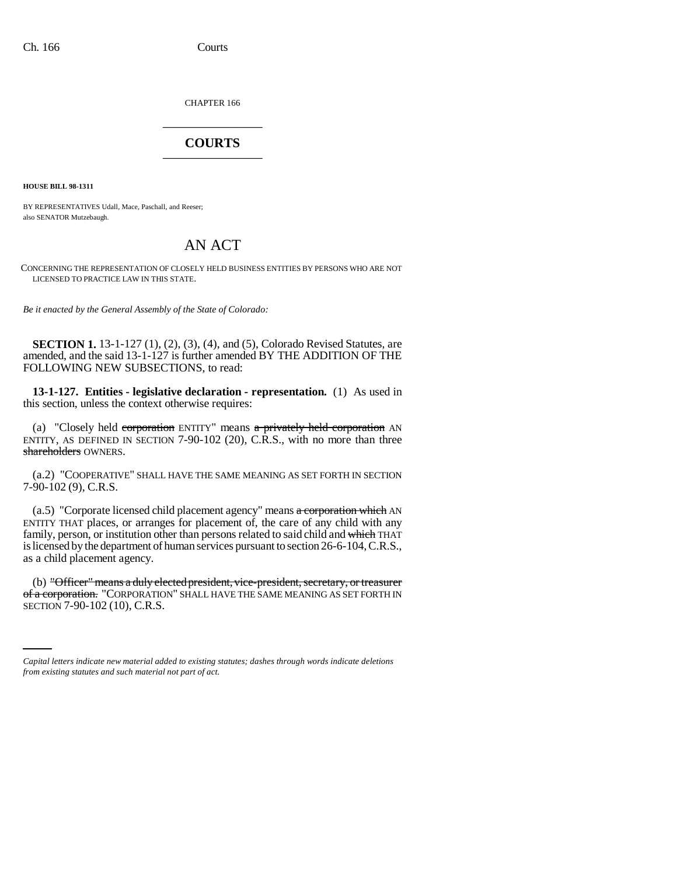CHAPTER 166 \_\_\_\_\_\_\_\_\_\_\_\_\_\_\_

## **COURTS** \_\_\_\_\_\_\_\_\_\_\_\_\_\_\_

**HOUSE BILL 98-1311**

BY REPRESENTATIVES Udall, Mace, Paschall, and Reeser; also SENATOR Mutzebaugh.

## AN ACT

CONCERNING THE REPRESENTATION OF CLOSELY HELD BUSINESS ENTITIES BY PERSONS WHO ARE NOT LICENSED TO PRACTICE LAW IN THIS STATE.

*Be it enacted by the General Assembly of the State of Colorado:*

**SECTION 1.** 13-1-127 (1), (2), (3), (4), and (5), Colorado Revised Statutes, are amended, and the said 13-1-127 is further amended BY THE ADDITION OF THE FOLLOWING NEW SUBSECTIONS, to read:

**13-1-127. Entities - legislative declaration - representation.** (1) As used in this section, unless the context otherwise requires:

(a) "Closely held corporation ENTITY" means  $a$  privately held corporation AN ENTITY, AS DEFINED IN SECTION  $7-90-102$  (20), C.R.S., with no more than three shareholders OWNERS.

(a.2) "COOPERATIVE" SHALL HAVE THE SAME MEANING AS SET FORTH IN SECTION 7-90-102 (9), C.R.S.

 $(a.5)$  "Corporate licensed child placement agency" means  $a$  corporation which AN ENTITY THAT places, or arranges for placement of, the care of any child with any family, person, or institution other than persons related to said child and which THAT is licensed by the department of human services pursuant to section 26-6-104, C.R.S., as a child placement agency.

of a corporation. "CORPORATION" SHALL HAVE THE SAME MEANING AS SET FORTH IN (b) "Officer" means a duly elected president, vice-president, secretary, or treasurer SECTION 7-90-102 (10), C.R.S.

*Capital letters indicate new material added to existing statutes; dashes through words indicate deletions from existing statutes and such material not part of act.*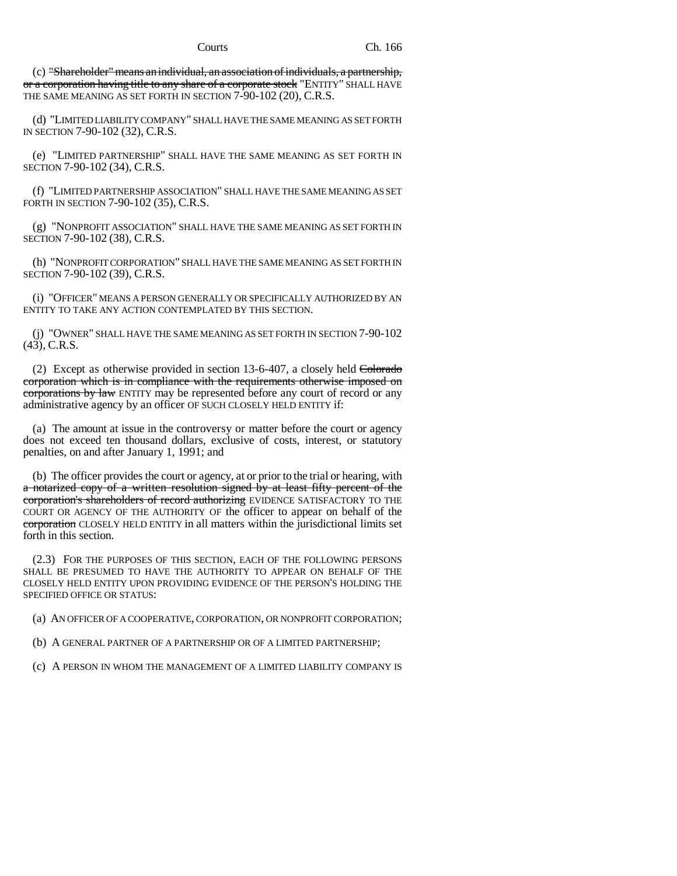(c) "Shareholder" means an individual, an association of individuals, a partnership, or a corporation having title to any share of a corporate stock "ENTITY" SHALL HAVE THE SAME MEANING AS SET FORTH IN SECTION 7-90-102 (20), C.R.S.

(d) "LIMITED LIABILITY COMPANY" SHALL HAVE THE SAME MEANING AS SET FORTH IN SECTION 7-90-102 (32), C.R.S.

(e) "LIMITED PARTNERSHIP" SHALL HAVE THE SAME MEANING AS SET FORTH IN SECTION 7-90-102 (34), C.R.S.

(f) "LIMITED PARTNERSHIP ASSOCIATION" SHALL HAVE THE SAME MEANING AS SET FORTH IN SECTION 7-90-102 (35), C.R.S.

(g) "NONPROFIT ASSOCIATION" SHALL HAVE THE SAME MEANING AS SET FORTH IN SECTION 7-90-102 (38), C.R.S.

(h) "NONPROFIT CORPORATION" SHALL HAVE THE SAME MEANING AS SET FORTH IN SECTION 7-90-102 (39), C.R.S.

(i) "OFFICER" MEANS A PERSON GENERALLY OR SPECIFICALLY AUTHORIZED BY AN ENTITY TO TAKE ANY ACTION CONTEMPLATED BY THIS SECTION.

(j) "OWNER" SHALL HAVE THE SAME MEANING AS SET FORTH IN SECTION 7-90-102  $(43)$ , C.R.S.

(2) Except as otherwise provided in section  $13-6-407$ , a closely held Colorado corporation which is in compliance with the requirements otherwise imposed on corporations by law ENTITY may be represented before any court of record or any administrative agency by an officer OF SUCH CLOSELY HELD ENTITY if:

(a) The amount at issue in the controversy or matter before the court or agency does not exceed ten thousand dollars, exclusive of costs, interest, or statutory penalties, on and after January 1, 1991; and

(b) The officer provides the court or agency, at or prior to the trial or hearing, with a notarized copy of a written resolution signed by at least fifty percent of the corporation's shareholders of record authorizing EVIDENCE SATISFACTORY TO THE COURT OR AGENCY OF THE AUTHORITY OF the officer to appear on behalf of the corporation CLOSELY HELD ENTITY in all matters within the jurisdictional limits set forth in this section.

(2.3) FOR THE PURPOSES OF THIS SECTION, EACH OF THE FOLLOWING PERSONS SHALL BE PRESUMED TO HAVE THE AUTHORITY TO APPEAR ON BEHALF OF THE CLOSELY HELD ENTITY UPON PROVIDING EVIDENCE OF THE PERSON'S HOLDING THE SPECIFIED OFFICE OR STATUS:

(a) AN OFFICER OF A COOPERATIVE, CORPORATION, OR NONPROFIT CORPORATION;

(b) A GENERAL PARTNER OF A PARTNERSHIP OR OF A LIMITED PARTNERSHIP;

(c) A PERSON IN WHOM THE MANAGEMENT OF A LIMITED LIABILITY COMPANY IS